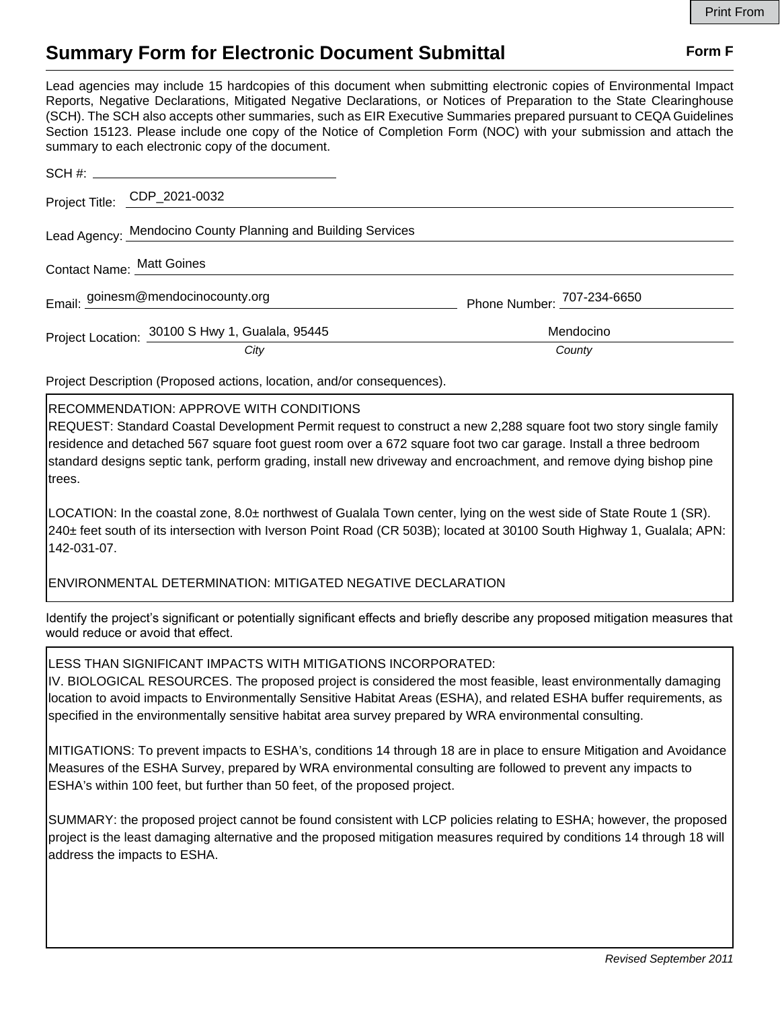# **Summary Form for Electronic Document Submittal Form F Form F**

Lead agencies may include 15 hardcopies of this document when submitting electronic copies of Environmental Impact Reports, Negative Declarations, Mitigated Negative Declarations, or Notices of Preparation to the State Clearinghouse (SCH). The SCH also accepts other summaries, such as EIR Executive Summaries prepared pursuant to CEQA Guidelines Section 15123. Please include one copy of the Notice of Completion Form (NOC) with your submission and attach the summary to each electronic copy of the document.

| Project Title: CDP_2021-0032                                 |                            |
|--------------------------------------------------------------|----------------------------|
| Lead Agency: Mendocino County Planning and Building Services |                            |
| Contact Name: Matt Goines                                    |                            |
| Email: goinesm@mendocinocounty.org                           | Phone Number: 707-234-6650 |
| Project Location: 30100 S Hwy 1, Gualala, 95445              | Mendocino                  |
| City                                                         | County                     |

Project Description (Proposed actions, location, and/or consequences).

## RECOMMENDATION: APPROVE WITH CONDITIONS

REQUEST: Standard Coastal Development Permit request to construct a new 2,288 square foot two story single family residence and detached 567 square foot guest room over a 672 square foot two car garage. Install a three bedroom standard designs septic tank, perform grading, install new driveway and encroachment, and remove dying bishop pine trees.

LOCATION: In the coastal zone, 8.0± northwest of Gualala Town center, lying on the west side of State Route 1 (SR). 240± feet south of its intersection with Iverson Point Road (CR 503B); located at 30100 South Highway 1, Gualala; APN: 142-031-07.

## ENVIRONMENTAL DETERMINATION: MITIGATED NEGATIVE DECLARATION

Identify the project's significant or potentially significant effects and briefly describe any proposed mitigation measures that would reduce or avoid that effect.

## LESS THAN SIGNIFICANT IMPACTS WITH MITIGATIONS INCORPORATED:

IV. BIOLOGICAL RESOURCES. The proposed project is considered the most feasible, least environmentally damaging location to avoid impacts to Environmentally Sensitive Habitat Areas (ESHA), and related ESHA buffer requirements, as specified in the environmentally sensitive habitat area survey prepared by WRA environmental consulting.

MITIGATIONS: To prevent impacts to ESHA's, conditions 14 through 18 are in place to ensure Mitigation and Avoidance Measures of the ESHA Survey, prepared by WRA environmental consulting are followed to prevent any impacts to ESHA's within 100 feet, but further than 50 feet, of the proposed project.

SUMMARY: the proposed project cannot be found consistent with LCP policies relating to ESHA; however, the proposed project is the least damaging alternative and the proposed mitigation measures required by conditions 14 through 18 will address the impacts to ESHA.